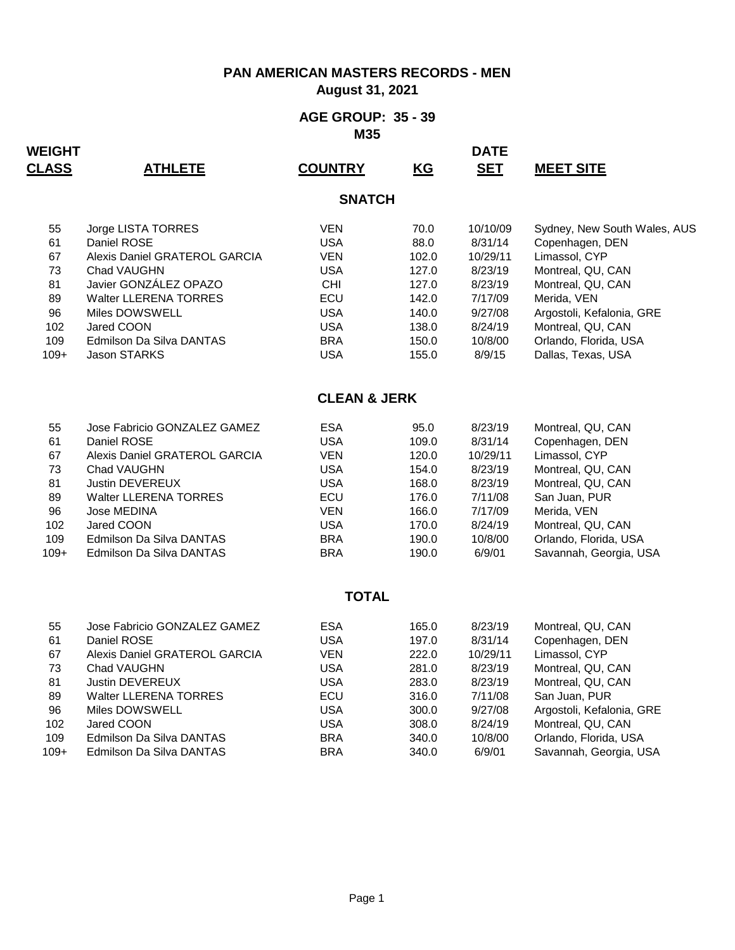**August 31, 2021**

#### **AGE GROUP: 35 - 39 M35**

| <b>WEIGHT</b><br><b>CLASS</b> | <u>ATHLETE</u>                | <b>COUNTRY</b>          | KG    | <b>DATE</b><br><b>SET</b> | <u>MEET SITE</u>             |  |  |  |
|-------------------------------|-------------------------------|-------------------------|-------|---------------------------|------------------------------|--|--|--|
| <b>SNATCH</b>                 |                               |                         |       |                           |                              |  |  |  |
| 55                            | Jorge LISTA TORRES            | <b>VEN</b>              | 70.0  | 10/10/09                  | Sydney, New South Wales, AUS |  |  |  |
| 61                            | Daniel ROSE                   | <b>USA</b>              | 88.0  | 8/31/14                   | Copenhagen, DEN              |  |  |  |
| 67                            | Alexis Daniel GRATEROL GARCIA | <b>VEN</b>              | 102.0 | 10/29/11                  | Limassol, CYP                |  |  |  |
| 73                            | Chad VAUGHN                   | <b>USA</b>              | 127.0 | 8/23/19                   | Montreal, QU, CAN            |  |  |  |
| 81                            | Javier GONZÁLEZ OPAZO         | CHI                     | 127.0 | 8/23/19                   | Montreal, QU, CAN            |  |  |  |
| 89                            | <b>Walter LLERENA TORRES</b>  | ECU                     | 142.0 | 7/17/09                   | Merida, VEN                  |  |  |  |
| 96                            | Miles DOWSWELL                | <b>USA</b>              | 140.0 | 9/27/08                   | Argostoli, Kefalonia, GRE    |  |  |  |
| 102                           | Jared COON                    | <b>USA</b>              | 138.0 | 8/24/19                   | Montreal, QU, CAN            |  |  |  |
| 109                           | Edmilson Da Silva DANTAS      | <b>BRA</b>              | 150.0 | 10/8/00                   | Orlando, Florida, USA        |  |  |  |
| $109+$                        | <b>Jason STARKS</b>           | <b>USA</b>              | 155.0 | 8/9/15                    | Dallas, Texas, USA           |  |  |  |
|                               |                               | <b>CLEAN &amp; JERK</b> |       |                           |                              |  |  |  |
| 55                            | Jose Fabricio GONZALEZ GAMEZ  | <b>ESA</b>              | 95.0  | 8/23/19                   | Montreal, QU, CAN            |  |  |  |
| 61                            | Daniel ROSE                   | <b>USA</b>              | 109.0 | 8/31/14                   | Copenhagen, DEN              |  |  |  |
| 67                            | Alexis Daniel GRATEROL GARCIA | <b>VEN</b>              | 120.0 | 10/29/11                  | Limassol, CYP                |  |  |  |
| 73                            | Chad VAUGHN                   | <b>USA</b>              | 154.0 | 8/23/19                   | Montreal, QU, CAN            |  |  |  |
| 81                            | Justin DEVEREUX               | <b>USA</b>              | 168.0 | 8/23/19                   | Montreal, QU, CAN            |  |  |  |
| 89                            | <b>Walter LLERENA TORRES</b>  | ECU                     | 176.0 | 7/11/08                   | San Juan, PUR                |  |  |  |
| 96                            | Jose MEDINA                   | <b>VEN</b>              | 166.0 | 7/17/09                   | Merida, VEN                  |  |  |  |
| 102                           | Jared COON                    | <b>USA</b>              | 170.0 | 8/24/19                   | Montreal, QU, CAN            |  |  |  |
| 109                           | Edmilson Da Silva DANTAS      | <b>BRA</b>              | 190.0 | 10/8/00                   | Orlando, Florida, USA        |  |  |  |
| $109+$                        | Edmilson Da Silva DANTAS      | <b>BRA</b>              | 190.0 | 6/9/01                    | Savannah, Georgia, USA       |  |  |  |
|                               |                               | <b>TOTAL</b>            |       |                           |                              |  |  |  |
| 55                            | Jose Fabricio GONZALEZ GAMEZ  | ESA                     | 165.0 | 8/23/19                   | Montreal, QU, CAN            |  |  |  |
| 61                            | Daniel ROSE                   | <b>USA</b>              | 197.0 | 8/31/14                   | Copenhagen, DEN              |  |  |  |
| 67                            | Alexis Daniel GRATEROL GARCIA | <b>VEN</b>              | 222.0 | 10/29/11                  | Limassol, CYP                |  |  |  |
| 73                            | Chad VAUGHN                   | <b>USA</b>              | 281.0 | 8/23/19                   | Montreal, QU, CAN            |  |  |  |
| 81                            | Justin DEVEREUX               | <b>USA</b>              | 283.0 | 8/23/19                   | Montreal, QU, CAN            |  |  |  |
| 89                            | <b>Walter LLERENA TORRES</b>  | ECU                     | 316.0 | 7/11/08                   | San Juan, PUR                |  |  |  |
| 96                            | Miles DOWSWELL                | <b>USA</b>              | 300.0 | 9/27/08                   | Argostoli, Kefalonia, GRE    |  |  |  |
| 102                           | Jared COON                    | <b>USA</b>              | 308.0 | 8/24/19                   | Montreal, QU, CAN            |  |  |  |
| 109                           | Edmilson Da Silva DANTAS      | <b>BRA</b>              | 340.0 | 10/8/00                   | Orlando, Florida, USA        |  |  |  |
| $109+$                        | Edmilson Da Silva DANTAS      | <b>BRA</b>              | 340.0 | 6/9/01                    | Savannah, Georgia, USA       |  |  |  |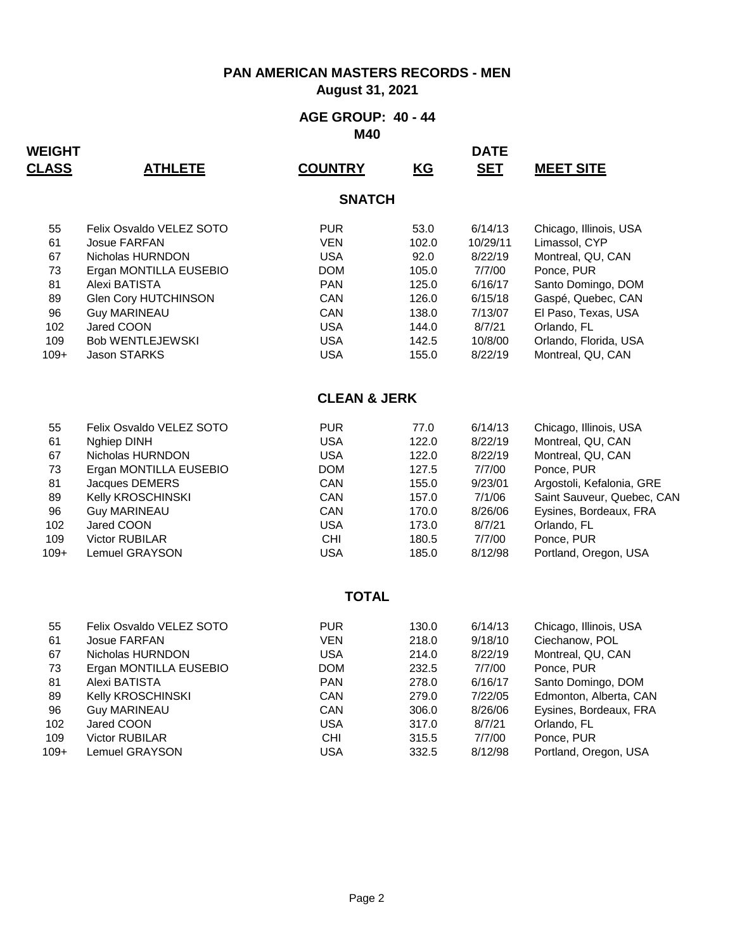**August 31, 2021**

#### **AGE GROUP: 40 - 44 M40**

| <b>WEIGHT</b><br><b>CLASS</b> | <b>ATHLETE</b>                          | <b>COUNTRY</b>           | $\underline{KG}$ | <b>DATE</b><br><b>SET</b> | <b>MEET SITE</b>                 |  |  |  |
|-------------------------------|-----------------------------------------|--------------------------|------------------|---------------------------|----------------------------------|--|--|--|
| <b>SNATCH</b>                 |                                         |                          |                  |                           |                                  |  |  |  |
| 55                            | Felix Osvaldo VELEZ SOTO                | <b>PUR</b>               | 53.0             | 6/14/13                   | Chicago, Illinois, USA           |  |  |  |
| 61                            | <b>Josue FARFAN</b>                     | <b>VEN</b>               | 102.0            | 10/29/11                  | Limassol, CYP                    |  |  |  |
| 67                            | Nicholas HURNDON                        | <b>USA</b>               | 92.0             | 8/22/19                   | Montreal, QU, CAN                |  |  |  |
| 73<br>81                      | Ergan MONTILLA EUSEBIO<br>Alexi BATISTA | <b>DOM</b><br><b>PAN</b> | 105.0<br>125.0   | 7/7/00<br>6/16/17         | Ponce, PUR<br>Santo Domingo, DOM |  |  |  |
| 89                            | Glen Cory HUTCHINSON                    | CAN                      | 126.0            | 6/15/18                   | Gaspé, Quebec, CAN               |  |  |  |
| 96                            | <b>Guy MARINEAU</b>                     | CAN                      | 138.0            | 7/13/07                   | El Paso, Texas, USA              |  |  |  |
| 102                           | Jared COON                              | <b>USA</b>               | 144.0            | 8/7/21                    | Orlando, FL                      |  |  |  |
| 109                           | <b>Bob WENTLEJEWSKI</b>                 | <b>USA</b>               | 142.5            | 10/8/00                   | Orlando, Florida, USA            |  |  |  |
| $109+$                        | <b>Jason STARKS</b>                     | <b>USA</b>               | 155.0            | 8/22/19                   | Montreal, QU, CAN                |  |  |  |
|                               |                                         | <b>CLEAN &amp; JERK</b>  |                  |                           |                                  |  |  |  |
| 55                            | Felix Osvaldo VELEZ SOTO                | <b>PUR</b>               | 77.0             | 6/14/13                   | Chicago, Illinois, USA           |  |  |  |
| 61                            | Nghiep DINH                             | <b>USA</b>               | 122.0            | 8/22/19                   | Montreal, QU, CAN                |  |  |  |
| 67                            | Nicholas HURNDON                        | <b>USA</b>               | 122.0            | 8/22/19                   | Montreal, QU, CAN                |  |  |  |
| 73                            | Ergan MONTILLA EUSEBIO                  | <b>DOM</b>               | 127.5            | 7/7/00                    | Ponce, PUR                       |  |  |  |
| 81                            | Jacques DEMERS                          | CAN                      | 155.0            | 9/23/01                   | Argostoli, Kefalonia, GRE        |  |  |  |
| 89                            | Kelly KROSCHINSKI                       | CAN                      | 157.0            | 7/1/06                    | Saint Sauveur, Quebec, CAN       |  |  |  |
| 96                            | <b>Guy MARINEAU</b>                     | CAN                      | 170.0            | 8/26/06                   | Eysines, Bordeaux, FRA           |  |  |  |
| 102                           | Jared COON                              | <b>USA</b>               | 173.0            | 8/7/21                    | Orlando, FL                      |  |  |  |
| 109<br>$109+$                 | Victor RUBILAR                          | <b>CHI</b><br><b>USA</b> | 180.5            | 7/7/00                    | Ponce, PUR                       |  |  |  |
|                               | <b>Lemuel GRAYSON</b>                   |                          | 185.0            | 8/12/98                   | Portland, Oregon, USA            |  |  |  |
|                               |                                         | <b>TOTAL</b>             |                  |                           |                                  |  |  |  |
| 55                            | Felix Osvaldo VELEZ SOTO                | <b>PUR</b>               | 130.0            | 6/14/13                   | Chicago, Illinois, USA           |  |  |  |
| 61                            | <b>Josue FARFAN</b>                     | <b>VEN</b>               | 218.0            | 9/18/10                   | Ciechanow, POL                   |  |  |  |
| 67                            | Nicholas HURNDON                        | <b>USA</b>               | 214.0            | 8/22/19                   | Montreal, QU, CAN                |  |  |  |
| 73                            | Ergan MONTILLA EUSEBIO                  | <b>DOM</b>               | 232.5            | 7/7/00                    | Ponce, PUR                       |  |  |  |
| 81                            | Alexi BATISTA                           | PAN                      | 278.0            | 6/16/17                   | Santo Domingo, DOM               |  |  |  |
| 89                            | Kelly KROSCHINSKI                       | CAN                      | 279.0            | 7/22/05                   | Edmonton, Alberta, CAN           |  |  |  |
| 96                            | <b>Guy MARINEAU</b>                     | CAN                      | 306.0            | 8/26/06                   | Eysines, Bordeaux, FRA           |  |  |  |
| 102<br>109                    | Jared COON<br>Victor RUBILAR            | <b>USA</b><br><b>CHI</b> | 317.0<br>315.5   | 8/7/21<br>7/7/00          | Orlando, FL<br>Ponce, PUR        |  |  |  |
| $109+$                        | Lemuel GRAYSON                          | <b>USA</b>               | 332.5            | 8/12/98                   | Portland, Oregon, USA            |  |  |  |
|                               |                                         |                          |                  |                           |                                  |  |  |  |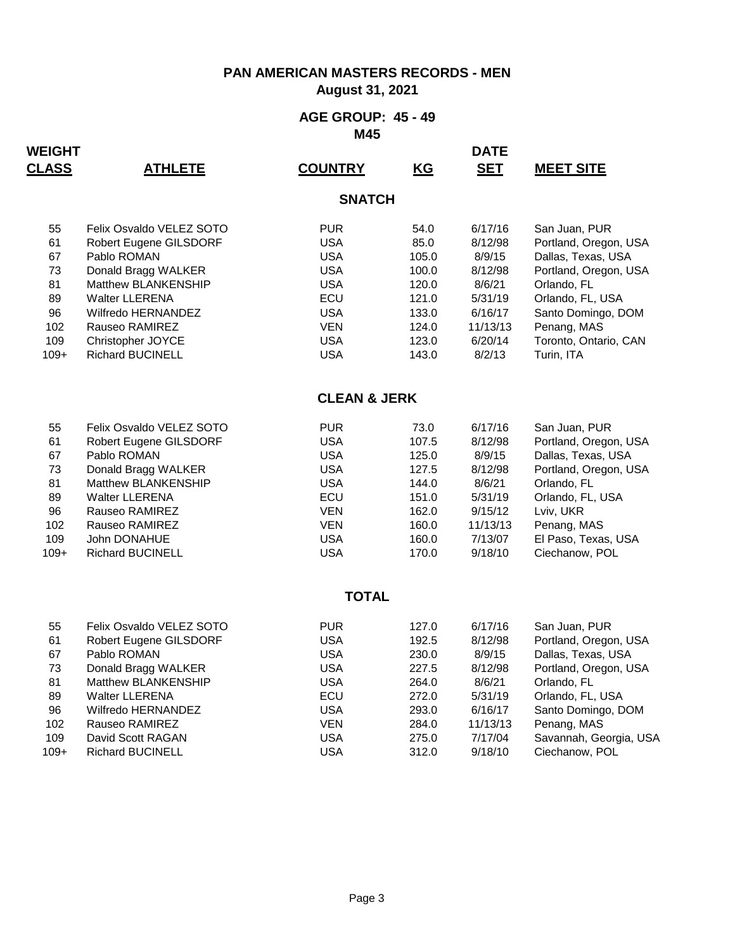**August 31, 2021**

#### **AGE GROUP: 45 - 49 M45**

| <b>WEIGHT</b><br><b>CLASS</b> | <u>ATHLETE</u>                                     | <b>COUNTRY</b>           | $\underline{KG}$ | <b>DATE</b><br><b>SET</b> | <b>MEET SITE</b>                       |  |  |  |  |
|-------------------------------|----------------------------------------------------|--------------------------|------------------|---------------------------|----------------------------------------|--|--|--|--|
|                               | <b>SNATCH</b>                                      |                          |                  |                           |                                        |  |  |  |  |
| 55                            | Felix Osvaldo VELEZ SOTO                           | <b>PUR</b>               | 54.0             | 6/17/16                   | San Juan, PUR                          |  |  |  |  |
| 61                            | Robert Eugene GILSDORF                             | <b>USA</b>               | 85.0             | 8/12/98                   | Portland, Oregon, USA                  |  |  |  |  |
| 67                            | Pablo ROMAN                                        | <b>USA</b>               | 105.0            | 8/9/15                    | Dallas, Texas, USA                     |  |  |  |  |
| 73                            | Donald Bragg WALKER                                | USA<br><b>USA</b>        | 100.0            | 8/12/98                   | Portland, Oregon, USA                  |  |  |  |  |
| 81<br>89                      | Matthew BLANKENSHIP<br><b>Walter LLERENA</b>       | ECU                      | 120.0<br>121.0   | 8/6/21<br>5/31/19         | Orlando, FL<br>Orlando, FL, USA        |  |  |  |  |
| 96                            | Wilfredo HERNANDEZ                                 | <b>USA</b>               | 133.0            | 6/16/17                   | Santo Domingo, DOM                     |  |  |  |  |
| 102                           | Rauseo RAMIREZ                                     | <b>VEN</b>               | 124.0            | 11/13/13                  | Penang, MAS                            |  |  |  |  |
| 109                           | Christopher JOYCE                                  | <b>USA</b>               | 123.0            | 6/20/14                   | Toronto, Ontario, CAN                  |  |  |  |  |
| $109+$                        | <b>Richard BUCINELL</b>                            | <b>USA</b>               | 143.0            | 8/2/13                    | Turin, ITA                             |  |  |  |  |
|                               |                                                    | <b>CLEAN &amp; JERK</b>  |                  |                           |                                        |  |  |  |  |
| 55                            | Felix Osvaldo VELEZ SOTO                           | <b>PUR</b>               | 73.0             | 6/17/16                   | San Juan, PUR                          |  |  |  |  |
| 61                            | Robert Eugene GILSDORF                             | <b>USA</b>               | 107.5            | 8/12/98                   | Portland, Oregon, USA                  |  |  |  |  |
| 67                            | Pablo ROMAN                                        | <b>USA</b>               | 125.0            | 8/9/15                    | Dallas, Texas, USA                     |  |  |  |  |
| 73                            | Donald Bragg WALKER                                | <b>USA</b>               | 127.5            | 8/12/98                   | Portland, Oregon, USA                  |  |  |  |  |
| 81                            | Matthew BLANKENSHIP                                | <b>USA</b>               | 144.0            | 8/6/21                    | Orlando, FL                            |  |  |  |  |
| 89                            | <b>Walter LLERENA</b>                              | ECU                      | 151.0            | 5/31/19                   | Orlando, FL, USA                       |  |  |  |  |
| 96<br>102                     | Rauseo RAMIREZ                                     | <b>VEN</b><br><b>VEN</b> | 162.0<br>160.0   | 9/15/12<br>11/13/13       | Lviv, UKR                              |  |  |  |  |
| 109                           | Rauseo RAMIREZ<br>John DONAHUE                     | <b>USA</b>               | 160.0            | 7/13/07                   | Penang, MAS<br>El Paso, Texas, USA     |  |  |  |  |
| $109+$                        | <b>Richard BUCINELL</b>                            | <b>USA</b>               | 170.0            | 9/18/10                   | Ciechanow, POL                         |  |  |  |  |
|                               |                                                    |                          |                  |                           |                                        |  |  |  |  |
|                               |                                                    | <b>TOTAL</b>             |                  |                           |                                        |  |  |  |  |
| 55                            | Felix Osvaldo VELEZ SOTO                           | <b>PUR</b>               | 127.0            | 6/17/16                   | San Juan, PUR                          |  |  |  |  |
| 61                            | Robert Eugene GILSDORF                             | <b>USA</b>               | 192.5            | 8/12/98                   | Portland, Oregon, USA                  |  |  |  |  |
| 67                            | Pablo ROMAN                                        | <b>USA</b>               | 230.0            | 8/9/15                    | Dallas, Texas, USA                     |  |  |  |  |
| 73                            | Donald Bragg WALKER                                | USA                      | 227.5            | 8/12/98                   | Portland, Oregon, USA                  |  |  |  |  |
| 81                            | <b>Matthew BLANKENSHIP</b>                         | <b>USA</b>               | 264.0            | 8/6/21                    | Orlando, FL                            |  |  |  |  |
| 89<br>96                      | <b>Walter LLERENA</b><br><b>Wilfredo HERNANDEZ</b> | ECU<br><b>USA</b>        | 272.0<br>293.0   | 5/31/19<br>6/16/17        | Orlando, FL, USA<br>Santo Domingo, DOM |  |  |  |  |
| 102                           | Rauseo RAMIREZ                                     | <b>VEN</b>               | 284.0            | 11/13/13                  | Penang, MAS                            |  |  |  |  |
| 109                           | David Scott RAGAN                                  | <b>USA</b>               | 275.0            | 7/17/04                   | Savannah, Georgia, USA                 |  |  |  |  |
| $109+$                        | <b>Richard BUCINELL</b>                            | <b>USA</b>               | 312.0            | 9/18/10                   | Ciechanow, POL                         |  |  |  |  |
|                               |                                                    |                          |                  |                           |                                        |  |  |  |  |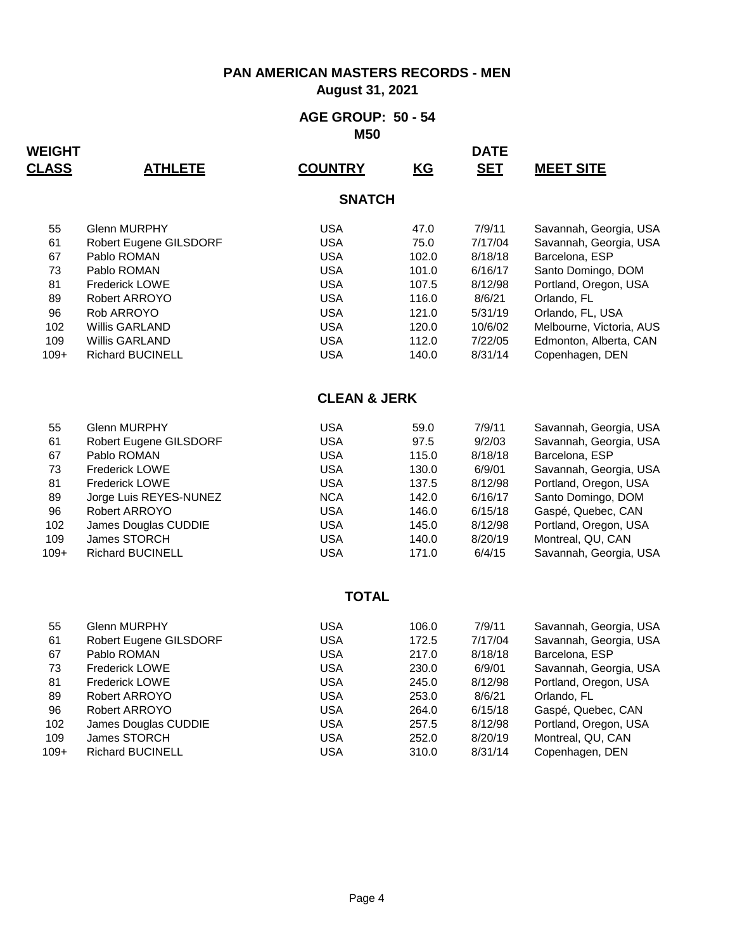**August 31, 2021**

#### **AGE GROUP: 50 - 54 M50**

| <b>WEIGHT</b><br><b>CLASS</b> | <u>ATHLETE</u>          | <b>COUNTRY</b>          | KG    | <b>DATE</b><br><b>SET</b> | <b>MEET SITE</b>         |
|-------------------------------|-------------------------|-------------------------|-------|---------------------------|--------------------------|
|                               |                         | <b>SNATCH</b>           |       |                           |                          |
| 55                            | <b>Glenn MURPHY</b>     | <b>USA</b>              | 47.0  | 7/9/11                    | Savannah, Georgia, USA   |
| 61                            | Robert Eugene GILSDORF  | <b>USA</b>              | 75.0  | 7/17/04                   | Savannah, Georgia, USA   |
| 67                            | Pablo ROMAN             | <b>USA</b>              | 102.0 | 8/18/18                   | Barcelona, ESP           |
| 73                            | Pablo ROMAN             | <b>USA</b>              | 101.0 | 6/16/17                   | Santo Domingo, DOM       |
| 81                            | <b>Frederick LOWE</b>   | <b>USA</b>              | 107.5 | 8/12/98                   | Portland, Oregon, USA    |
| 89                            | Robert ARROYO           | <b>USA</b>              | 116.0 | 8/6/21                    | Orlando, FL              |
| 96                            | Rob ARROYO              | <b>USA</b>              | 121.0 | 5/31/19                   | Orlando, FL, USA         |
| 102                           | Willis GARLAND          | <b>USA</b>              | 120.0 | 10/6/02                   | Melbourne, Victoria, AUS |
| 109                           | <b>Willis GARLAND</b>   | <b>USA</b>              | 112.0 | 7/22/05                   | Edmonton, Alberta, CAN   |
| $109+$                        | <b>Richard BUCINELL</b> | <b>USA</b>              | 140.0 | 8/31/14                   | Copenhagen, DEN          |
|                               |                         | <b>CLEAN &amp; JERK</b> |       |                           |                          |
| 55                            | <b>Glenn MURPHY</b>     | <b>USA</b>              | 59.0  | 7/9/11                    | Savannah, Georgia, USA   |
| 61                            | Robert Eugene GILSDORF  | <b>USA</b>              | 97.5  | 9/2/03                    | Savannah, Georgia, USA   |
| 67                            | Pablo ROMAN             | <b>USA</b>              | 115.0 | 8/18/18                   | Barcelona, ESP           |
| 73                            | <b>Frederick LOWE</b>   | <b>USA</b>              | 130.0 | 6/9/01                    | Savannah, Georgia, USA   |
| 81                            | <b>Frederick LOWE</b>   | <b>USA</b>              | 137.5 | 8/12/98                   | Portland, Oregon, USA    |
| 89                            | Jorge Luis REYES-NUNEZ  | <b>NCA</b>              | 142.0 | 6/16/17                   | Santo Domingo, DOM       |
| 96                            | Robert ARROYO           | <b>USA</b>              | 146.0 | 6/15/18                   | Gaspé, Quebec, CAN       |
| 102                           | James Douglas CUDDIE    | <b>USA</b>              | 145.0 | 8/12/98                   | Portland, Oregon, USA    |
| 109                           | James STORCH            | <b>USA</b>              | 140.0 | 8/20/19                   | Montreal, QU, CAN        |
| $109+$                        | <b>Richard BUCINELL</b> | <b>USA</b>              | 171.0 | 6/4/15                    | Savannah, Georgia, USA   |
|                               |                         | <b>TOTAL</b>            |       |                           |                          |
| 55                            | <b>Glenn MURPHY</b>     | <b>USA</b>              | 106.0 | 7/9/11                    | Savannah, Georgia, USA   |
| 61                            | Robert Eugene GILSDORF  | <b>USA</b>              | 172.5 | 7/17/04                   | Savannah, Georgia, USA   |
| 67                            | Pablo ROMAN             | <b>USA</b>              | 217.0 | 8/18/18                   | Barcelona, ESP           |
| 73                            | <b>Frederick LOWE</b>   | <b>USA</b>              | 230.0 | 6/9/01                    | Savannah, Georgia, USA   |
| 81                            | <b>Frederick LOWE</b>   | <b>USA</b>              | 245.0 | 8/12/98                   | Portland, Oregon, USA    |
| 89                            | Robert ARROYO           | <b>USA</b>              | 253.0 | 8/6/21                    | Orlando, FL              |
| 96                            | Robert ARROYO           | <b>USA</b>              | 264.0 | 6/15/18                   | Gaspé, Quebec, CAN       |
| 102                           | James Douglas CUDDIE    | <b>USA</b>              | 257.5 | 8/12/98                   | Portland, Oregon, USA    |
| 109                           | James STORCH            | <b>USA</b>              | 252.0 | 8/20/19                   | Montreal, QU, CAN        |
| $109+$                        | <b>Richard BUCINELL</b> | <b>USA</b>              | 310.0 | 8/31/14                   | Copenhagen, DEN          |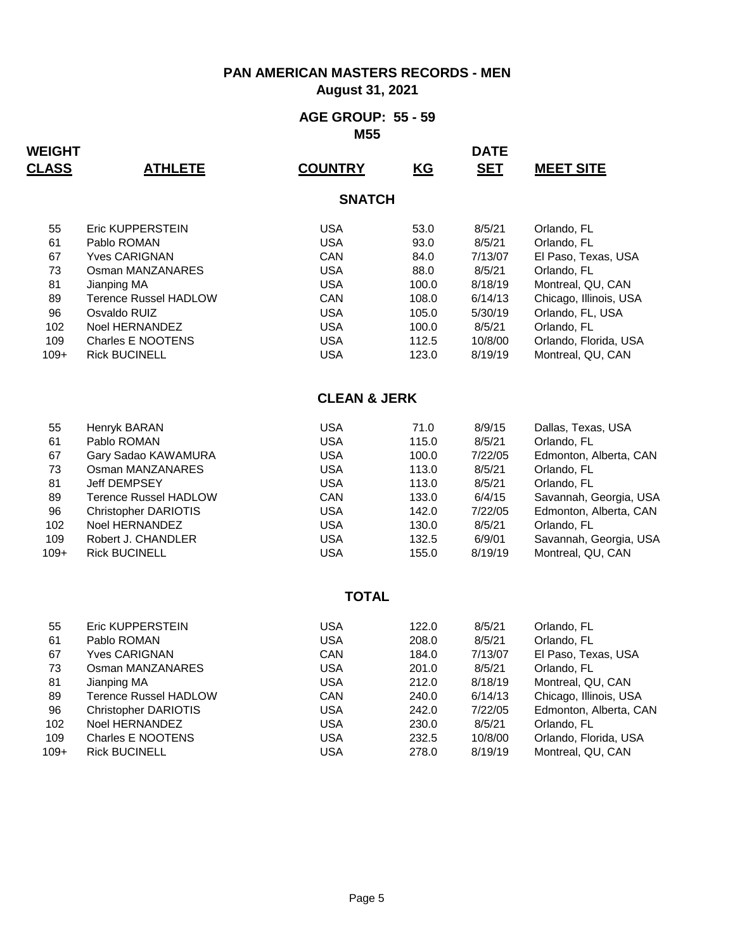**August 31, 2021**

#### **AGE GROUP: 55 - 59 M55**

| <b>WEIGHT</b><br><b>CLASS</b> | <u>ATHLETE</u>                           | <b>COUNTRY</b>          | KG           | <b>DATE</b><br><b>SET</b> | <b>MEET SITE</b>                   |
|-------------------------------|------------------------------------------|-------------------------|--------------|---------------------------|------------------------------------|
|                               |                                          | <b>SNATCH</b>           |              |                           |                                    |
|                               |                                          |                         |              |                           |                                    |
| 55                            | <b>Eric KUPPERSTEIN</b>                  | <b>USA</b>              | 53.0         | 8/5/21                    | Orlando, FL                        |
| 61<br>67                      | Pablo ROMAN                              | <b>USA</b><br>CAN       | 93.0         | 8/5/21                    | Orlando, FL                        |
| 73                            | <b>Yves CARIGNAN</b><br>Osman MANZANARES | <b>USA</b>              | 84.0<br>88.0 | 7/13/07<br>8/5/21         | El Paso, Texas, USA<br>Orlando, FL |
| 81                            | Jianping MA                              | <b>USA</b>              | 100.0        | 8/18/19                   | Montreal, QU, CAN                  |
| 89                            | <b>Terence Russel HADLOW</b>             | CAN                     | 108.0        | 6/14/13                   | Chicago, Illinois, USA             |
| 96                            | Osvaldo RUIZ                             | <b>USA</b>              | 105.0        | 5/30/19                   | Orlando, FL, USA                   |
| 102                           | Noel HERNANDEZ                           | <b>USA</b>              | 100.0        | 8/5/21                    | Orlando, FL                        |
| 109                           | <b>Charles E NOOTENS</b>                 | <b>USA</b>              | 112.5        | 10/8/00                   | Orlando, Florida, USA              |
| $109+$                        | <b>Rick BUCINELL</b>                     | <b>USA</b>              | 123.0        | 8/19/19                   | Montreal, QU, CAN                  |
|                               |                                          | <b>CLEAN &amp; JERK</b> |              |                           |                                    |
| 55                            | Henryk BARAN                             | <b>USA</b>              | 71.0         | 8/9/15                    | Dallas, Texas, USA                 |
| 61                            | Pablo ROMAN                              | <b>USA</b>              | 115.0        | 8/5/21                    | Orlando, FL                        |
| 67                            | Gary Sadao KAWAMURA                      | <b>USA</b>              | 100.0        | 7/22/05                   | Edmonton, Alberta, CAN             |
| 73                            | Osman MANZANARES                         | <b>USA</b>              | 113.0        | 8/5/21                    | Orlando, FL                        |
| 81                            | Jeff DEMPSEY                             | <b>USA</b>              | 113.0        | 8/5/21                    | Orlando, FL                        |
| 89                            | <b>Terence Russel HADLOW</b>             | CAN                     | 133.0        | 6/4/15                    | Savannah, Georgia, USA             |
| 96                            | <b>Christopher DARIOTIS</b>              | <b>USA</b>              | 142.0        | 7/22/05                   | Edmonton, Alberta, CAN             |
| 102                           | Noel HERNANDEZ                           | <b>USA</b>              | 130.0        | 8/5/21                    | Orlando, FL                        |
| 109                           | Robert J. CHANDLER                       | <b>USA</b>              | 132.5        | 6/9/01                    | Savannah, Georgia, USA             |
| $109+$                        | <b>Rick BUCINELL</b>                     | <b>USA</b>              | 155.0        | 8/19/19                   | Montreal, QU, CAN                  |
|                               |                                          | <b>TOTAL</b>            |              |                           |                                    |
|                               |                                          |                         |              |                           |                                    |
| 55                            | Eric KUPPERSTEIN                         | <b>USA</b>              | 122.0        | 8/5/21                    | Orlando, FL                        |
| 61                            | Pablo ROMAN                              | <b>USA</b>              | 208.0        | 8/5/21                    | Orlando, FL                        |
| 67                            | <b>Yves CARIGNAN</b>                     | <b>CAN</b>              | 184.0        | 7/13/07                   | El Paso, Texas, USA                |
| 73                            | Osman MANZANARES                         | <b>USA</b>              | 201.0        | 8/5/21                    | Orlando, FL                        |
| 81                            | Jianping MA                              | <b>USA</b>              | 212.0        | 8/18/19                   | Montreal, QU, CAN                  |
| 89                            | <b>Terence Russel HADLOW</b>             | CAN                     | 240.0        | 6/14/13                   | Chicago, Illinois, USA             |
| 96                            | <b>Christopher DARIOTIS</b>              | <b>USA</b>              | 242.0        | 7/22/05                   | Edmonton, Alberta, CAN             |
| 102                           | Noel HERNANDEZ                           | <b>USA</b>              | 230.0        | 8/5/21                    | Orlando, FL                        |
| 109                           | <b>Charles E NOOTENS</b>                 | <b>USA</b>              | 232.5        | 10/8/00                   | Orlando, Florida, USA              |
| $109+$                        | <b>Rick BUCINELL</b>                     | <b>USA</b>              | 278.0        | 8/19/19                   | Montreal, QU, CAN                  |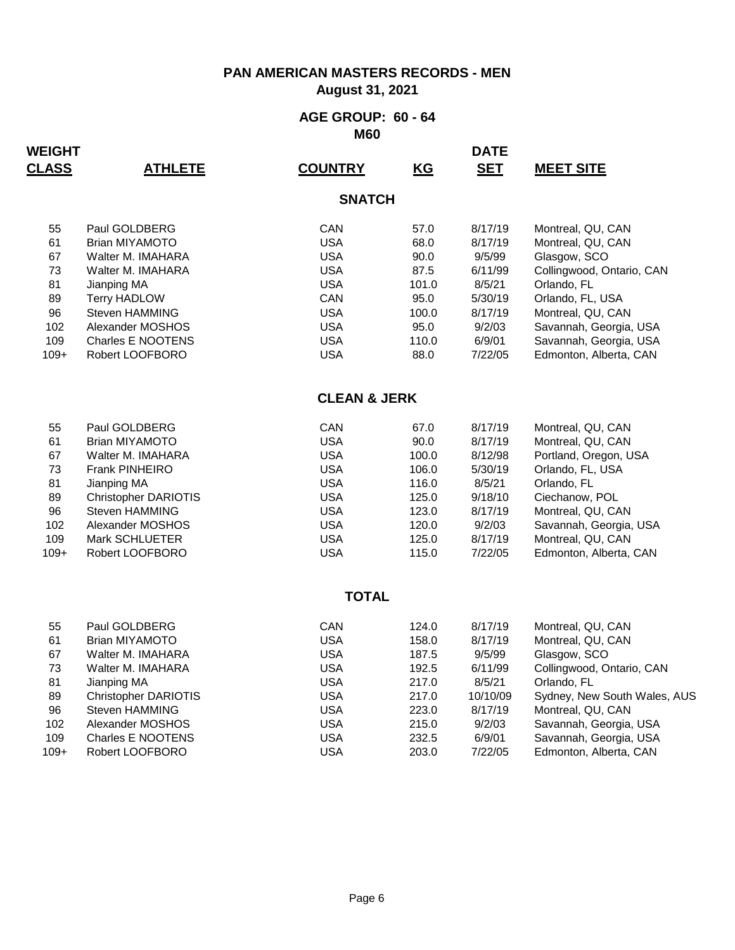**August 31, 2021**

#### **AGE GROUP: 60 - 64 M60**

| <b>WEIGHT</b> |                             |                         |                           | <b>DATE</b> |                              |
|---------------|-----------------------------|-------------------------|---------------------------|-------------|------------------------------|
| <b>CLASS</b>  | <b>ATHLETE</b>              | <b>COUNTRY</b>          | $\underline{\mathsf{KG}}$ | <b>SET</b>  | <b>MEET SITE</b>             |
|               |                             | <b>SNATCH</b>           |                           |             |                              |
| 55            | Paul GOLDBERG               | CAN                     | 57.0                      | 8/17/19     | Montreal, QU, CAN            |
| 61            | <b>Brian MIYAMOTO</b>       | <b>USA</b>              | 68.0                      | 8/17/19     | Montreal, QU, CAN            |
| 67            | Walter M. IMAHARA           | <b>USA</b>              | 90.0                      | 9/5/99      | Glasgow, SCO                 |
| 73            | Walter M. IMAHARA           | <b>USA</b>              | 87.5                      | 6/11/99     | Collingwood, Ontario, CAN    |
| 81            | Jianping MA                 | <b>USA</b>              | 101.0                     | 8/5/21      | Orlando, FL                  |
| 89            | <b>Terry HADLOW</b>         | CAN                     | 95.0                      | 5/30/19     | Orlando, FL, USA             |
| 96            | Steven HAMMING              | <b>USA</b>              | 100.0                     | 8/17/19     | Montreal, QU, CAN            |
| 102           | Alexander MOSHOS            | <b>USA</b>              | 95.0                      | 9/2/03      | Savannah, Georgia, USA       |
| 109           | Charles E NOOTENS           | <b>USA</b>              | 110.0                     | 6/9/01      | Savannah, Georgia, USA       |
| $109+$        | Robert LOOFBORO             | <b>USA</b>              | 88.0                      | 7/22/05     | Edmonton, Alberta, CAN       |
|               |                             | <b>CLEAN &amp; JERK</b> |                           |             |                              |
| 55            | Paul GOLDBERG               | <b>CAN</b>              | 67.0                      | 8/17/19     | Montreal, QU, CAN            |
| 61            | <b>Brian MIYAMOTO</b>       | <b>USA</b>              | 90.0                      | 8/17/19     | Montreal, QU, CAN            |
| 67            | Walter M. IMAHARA           | <b>USA</b>              | 100.0                     | 8/12/98     | Portland, Oregon, USA        |
| 73            | Frank PINHEIRO              | <b>USA</b>              | 106.0                     | 5/30/19     | Orlando, FL, USA             |
| 81            | Jianping MA                 | <b>USA</b>              | 116.0                     | 8/5/21      | Orlando, FL                  |
| 89            | <b>Christopher DARIOTIS</b> | <b>USA</b>              | 125.0                     | 9/18/10     | Ciechanow, POL               |
| 96            | Steven HAMMING              | <b>USA</b>              | 123.0                     | 8/17/19     | Montreal, QU, CAN            |
| 102           | Alexander MOSHOS            | <b>USA</b>              | 120.0                     | 9/2/03      | Savannah, Georgia, USA       |
| 109           | Mark SCHLUETER              | <b>USA</b>              | 125.0                     | 8/17/19     | Montreal, QU, CAN            |
| $109+$        | Robert LOOFBORO             | <b>USA</b>              | 115.0                     | 7/22/05     | Edmonton, Alberta, CAN       |
|               |                             | <b>TOTAL</b>            |                           |             |                              |
| 55            | Paul GOLDBERG               | CAN                     | 124.0                     | 8/17/19     | Montreal, QU, CAN            |
| 61            | <b>Brian MIYAMOTO</b>       | <b>USA</b>              | 158.0                     | 8/17/19     | Montreal, QU, CAN            |
| 67            | Walter M. IMAHARA           | <b>USA</b>              | 187.5                     | 9/5/99      | Glasgow, SCO                 |
| 73            | Walter M. IMAHARA           | <b>USA</b>              | 192.5                     | 6/11/99     | Collingwood, Ontario, CAN    |
| 81            | Jianping MA                 | <b>USA</b>              | 217.0                     | 8/5/21      | Orlando, FL                  |
| 89            | <b>Christopher DARIOTIS</b> | <b>USA</b>              | 217.0                     | 10/10/09    | Sydney, New South Wales, AUS |
| 96            | Steven HAMMING              | <b>USA</b>              | 223.0                     | 8/17/19     | Montreal, QU, CAN            |
| 102           | Alexander MOSHOS            | <b>USA</b>              | 215.0                     | 9/2/03      | Savannah, Georgia, USA       |
| 109           | Charles E NOOTENS           | <b>USA</b>              | 232.5                     | 6/9/01      | Savannah, Georgia, USA       |
| $109+$        | Robert LOOFBORO             | <b>USA</b>              | 203.0                     | 7/22/05     | Edmonton, Alberta, CAN       |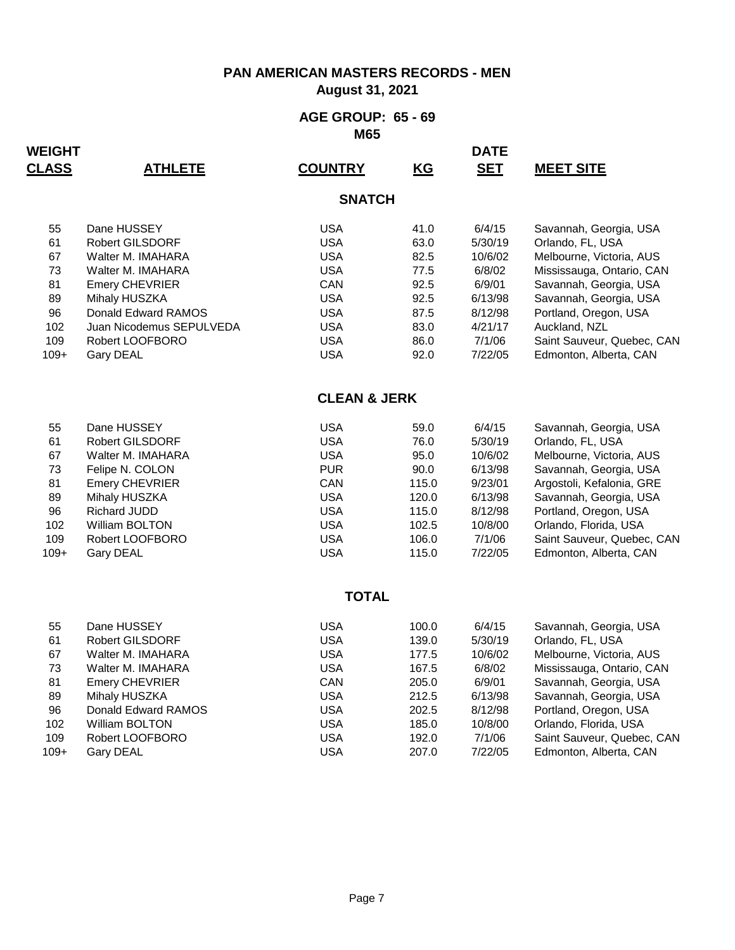**August 31, 2021**

#### **AGE GROUP: 65 - 69 M65**

| WEIGHT       |                              |                          |              | <b>DATE</b>       |                                                      |
|--------------|------------------------------|--------------------------|--------------|-------------------|------------------------------------------------------|
| <b>CLASS</b> | <u>ATHLETE</u>               | <b>COUNTRY</b>           | <u>KG</u>    | <b>SET</b>        | <b>MEET SITE</b>                                     |
|              |                              | <b>SNATCH</b>            |              |                   |                                                      |
| 55           | Dane HUSSEY                  | <b>USA</b>               | 41.0         | 6/4/15            | Savannah, Georgia, USA                               |
| 61           | Robert GILSDORF              | <b>USA</b>               | 63.0         | 5/30/19           | Orlando, FL, USA                                     |
| 67           | Walter M. IMAHARA            | <b>USA</b>               | 82.5         | 10/6/02           | Melbourne, Victoria, AUS                             |
| 73           | Walter M. IMAHARA            | <b>USA</b>               | 77.5         | 6/8/02            | Mississauga, Ontario, CAN                            |
| 81           | <b>Emery CHEVRIER</b>        | CAN                      | 92.5         | 6/9/01            | Savannah, Georgia, USA                               |
| 89           | Mihaly HUSZKA                | <b>USA</b>               | 92.5         | 6/13/98           | Savannah, Georgia, USA                               |
| 96           | Donald Edward RAMOS          | <b>USA</b>               | 87.5         | 8/12/98           | Portland, Oregon, USA                                |
| 102<br>109   | Juan Nicodemus SEPULVEDA     | <b>USA</b>               | 83.0         | 4/21/17           | Auckland, NZL                                        |
| $109+$       | Robert LOOFBORO<br>Gary DEAL | <b>USA</b><br><b>USA</b> | 86.0<br>92.0 | 7/1/06<br>7/22/05 | Saint Sauveur, Quebec, CAN<br>Edmonton, Alberta, CAN |
|              |                              |                          |              |                   |                                                      |
|              |                              | <b>CLEAN &amp; JERK</b>  |              |                   |                                                      |
| 55           | Dane HUSSEY                  | <b>USA</b>               | 59.0         | 6/4/15            | Savannah, Georgia, USA                               |
| 61           | Robert GILSDORF              | <b>USA</b>               | 76.0         | 5/30/19           | Orlando, FL, USA                                     |
| 67           | Walter M. IMAHARA            | <b>USA</b>               | 95.0         | 10/6/02           | Melbourne, Victoria, AUS                             |
| 73           | Felipe N. COLON              | <b>PUR</b>               | 90.0         | 6/13/98           | Savannah, Georgia, USA                               |
| 81           | Emery CHEVRIER               | CAN                      | 115.0        | 9/23/01           | Argostoli, Kefalonia, GRE                            |
| 89           | Mihaly HUSZKA                | <b>USA</b>               | 120.0        | 6/13/98           | Savannah, Georgia, USA                               |
| 96           | <b>Richard JUDD</b>          | <b>USA</b>               | 115.0        | 8/12/98           | Portland, Oregon, USA                                |
| 102          | William BOLTON               | <b>USA</b>               | 102.5        | 10/8/00           | Orlando, Florida, USA                                |
| 109          | Robert LOOFBORO              | <b>USA</b>               | 106.0        | 7/1/06            | Saint Sauveur, Quebec, CAN                           |
| $109+$       | <b>Gary DEAL</b>             | <b>USA</b>               | 115.0        | 7/22/05           | Edmonton, Alberta, CAN                               |
|              |                              | <b>TOTAL</b>             |              |                   |                                                      |
| 55           | Dane HUSSEY                  | <b>USA</b>               | 100.0        | 6/4/15            | Savannah, Georgia, USA                               |
| 61           | Robert GILSDORF              | <b>USA</b>               | 139.0        | 5/30/19           | Orlando, FL, USA                                     |
| 67           | Walter M. IMAHARA            | <b>USA</b>               | 177.5        | 10/6/02           | Melbourne, Victoria, AUS                             |
| 73           | Walter M. IMAHARA            | <b>USA</b>               | 167.5        | 6/8/02            | Mississauga, Ontario, CAN                            |
| 81           | Emery CHEVRIER               | CAN                      | 205.0        | 6/9/01            | Savannah, Georgia, USA                               |
| 89           | Mihaly HUSZKA                | <b>USA</b>               | 212.5        | 6/13/98           | Savannah, Georgia, USA                               |
| 96           | Donald Edward RAMOS          | <b>USA</b>               | 202.5        | 8/12/98           | Portland, Oregon, USA                                |
| 102          | <b>William BOLTON</b>        | <b>USA</b>               | 185.0        | 10/8/00           | Orlando, Florida, USA                                |
| 109          | Robert LOOFBORO              | <b>USA</b>               | 192.0        | 7/1/06            | Saint Sauveur, Quebec, CAN                           |
| $109+$       | <b>Gary DEAL</b>             | <b>USA</b>               | 207.0        | 7/22/05           | Edmonton, Alberta, CAN                               |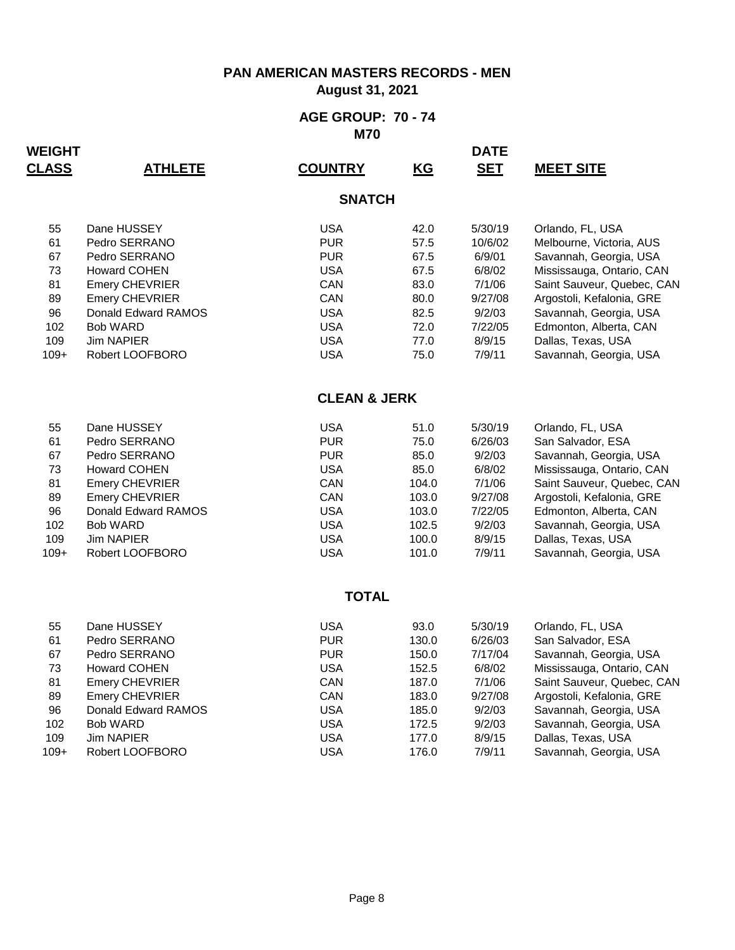**August 31, 2021**

#### **AGE GROUP: 70 - 74 M70**

| WEIGHT       |                     |                         |                           | <b>DATE</b> |                            |
|--------------|---------------------|-------------------------|---------------------------|-------------|----------------------------|
| <b>CLASS</b> | <u>ATHLETE</u>      | <b>COUNTRY</b>          | $\underline{\mathsf{KG}}$ | <b>SET</b>  | <b>MEET SITE</b>           |
|              |                     | <b>SNATCH</b>           |                           |             |                            |
| 55           | Dane HUSSEY         | <b>USA</b>              | 42.0                      | 5/30/19     | Orlando, FL, USA           |
| 61           | Pedro SERRANO       | <b>PUR</b>              | 57.5                      | 10/6/02     | Melbourne, Victoria, AUS   |
| 67           | Pedro SERRANO       | <b>PUR</b>              | 67.5                      | 6/9/01      | Savannah, Georgia, USA     |
| 73           | <b>Howard COHEN</b> | <b>USA</b>              | 67.5                      | 6/8/02      | Mississauga, Ontario, CAN  |
| 81           | Emery CHEVRIER      | CAN                     | 83.0                      | 7/1/06      | Saint Sauveur, Quebec, CAN |
| 89           | Emery CHEVRIER      | CAN                     | 80.0                      | 9/27/08     | Argostoli, Kefalonia, GRE  |
| 96           | Donald Edward RAMOS | <b>USA</b>              | 82.5                      | 9/2/03      | Savannah, Georgia, USA     |
| 102          | <b>Bob WARD</b>     | <b>USA</b>              | 72.0                      | 7/22/05     | Edmonton, Alberta, CAN     |
| 109          | <b>Jim NAPIER</b>   | <b>USA</b>              | 77.0                      | 8/9/15      | Dallas, Texas, USA         |
| $109+$       | Robert LOOFBORO     | <b>USA</b>              | 75.0                      | 7/9/11      | Savannah, Georgia, USA     |
|              |                     | <b>CLEAN &amp; JERK</b> |                           |             |                            |
| 55           | Dane HUSSEY         | <b>USA</b>              | 51.0                      | 5/30/19     | Orlando, FL, USA           |
| 61           | Pedro SERRANO       | <b>PUR</b>              | 75.0                      | 6/26/03     | San Salvador, ESA          |
| 67           | Pedro SERRANO       | <b>PUR</b>              | 85.0                      | 9/2/03      | Savannah, Georgia, USA     |
| 73           | <b>Howard COHEN</b> | <b>USA</b>              | 85.0                      | 6/8/02      | Mississauga, Ontario, CAN  |
| 81           | Emery CHEVRIER      | CAN                     | 104.0                     | 7/1/06      | Saint Sauveur, Quebec, CAN |
| 89           | Emery CHEVRIER      | CAN                     | 103.0                     | 9/27/08     | Argostoli, Kefalonia, GRE  |
| 96           | Donald Edward RAMOS | <b>USA</b>              | 103.0                     | 7/22/05     | Edmonton, Alberta, CAN     |
| 102          | <b>Bob WARD</b>     | <b>USA</b>              | 102.5                     | 9/2/03      | Savannah, Georgia, USA     |
| 109          | <b>Jim NAPIER</b>   | <b>USA</b>              | 100.0                     | 8/9/15      | Dallas, Texas, USA         |
| $109+$       | Robert LOOFBORO     | <b>USA</b>              | 101.0                     | 7/9/11      | Savannah, Georgia, USA     |
|              |                     | <b>TOTAL</b>            |                           |             |                            |
| 55           | Dane HUSSEY         | <b>USA</b>              | 93.0                      | 5/30/19     | Orlando, FL, USA           |
| 61           | Pedro SERRANO       | <b>PUR</b>              | 130.0                     | 6/26/03     | San Salvador, ESA          |
| 67           | Pedro SERRANO       | <b>PUR</b>              | 150.0                     | 7/17/04     | Savannah, Georgia, USA     |
| 73           | <b>Howard COHEN</b> | <b>USA</b>              | 152.5                     | 6/8/02      | Mississauga, Ontario, CAN  |
| 81           | Emery CHEVRIER      | CAN                     | 187.0                     | 7/1/06      | Saint Sauveur, Quebec, CAN |
| 89           | Emery CHEVRIER      | CAN                     | 183.0                     | 9/27/08     | Argostoli, Kefalonia, GRE  |
| 96           | Donald Edward RAMOS | <b>USA</b>              | 185.0                     | 9/2/03      | Savannah, Georgia, USA     |
| 102          | <b>Bob WARD</b>     | <b>USA</b>              | 172.5                     | 9/2/03      | Savannah, Georgia, USA     |
| 109          | <b>Jim NAPIER</b>   | <b>USA</b>              | 177.0                     | 8/9/15      | Dallas, Texas, USA         |
| $109+$       | Robert LOOFBORO     | <b>USA</b>              | 176.0                     | 7/9/11      | Savannah, Georgia, USA     |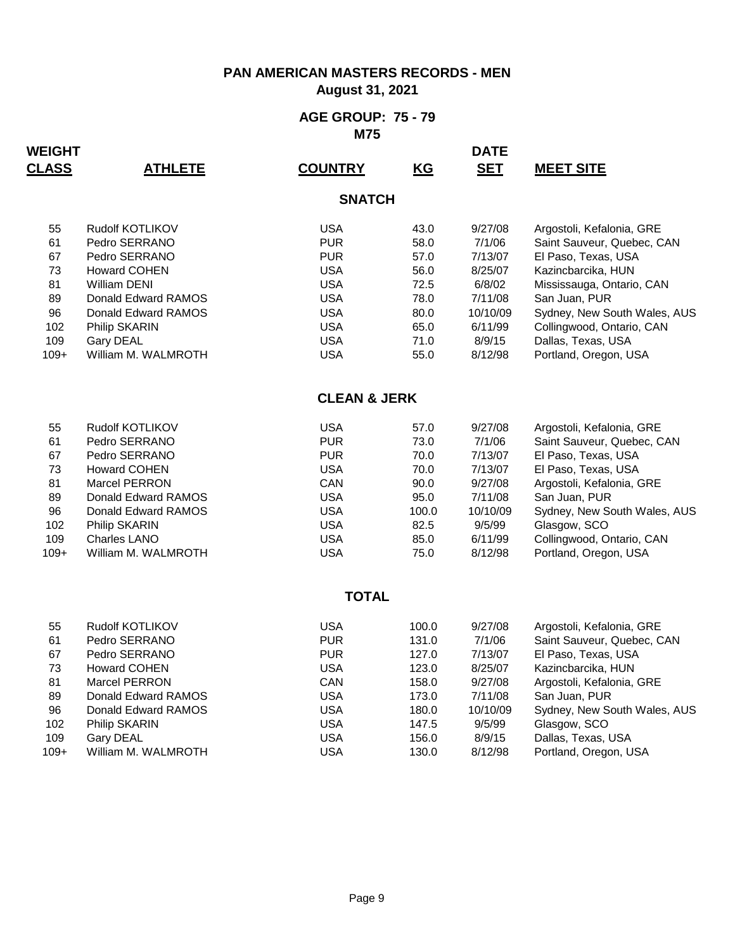### **August 31, 2021**

#### **AGE GROUP: 75 - 79 M75**

| <b>WEIGHT</b> |                      |                         |                           | <b>DATE</b> |                              |  |  |  |  |
|---------------|----------------------|-------------------------|---------------------------|-------------|------------------------------|--|--|--|--|
| <b>CLASS</b>  | <u>ATHLETE</u>       | <b>COUNTRY</b>          | $\underline{\mathsf{KG}}$ | <b>SET</b>  | <u>MEET SITE</u>             |  |  |  |  |
| <b>SNATCH</b> |                      |                         |                           |             |                              |  |  |  |  |
| 55            | Rudolf KOTLIKOV      | <b>USA</b>              | 43.0                      | 9/27/08     | Argostoli, Kefalonia, GRE    |  |  |  |  |
| 61            | Pedro SERRANO        | <b>PUR</b>              | 58.0                      | 7/1/06      | Saint Sauveur, Quebec, CAN   |  |  |  |  |
| 67            | Pedro SERRANO        | <b>PUR</b>              | 57.0                      | 7/13/07     | El Paso, Texas, USA          |  |  |  |  |
| 73            | <b>Howard COHEN</b>  | <b>USA</b>              | 56.0                      | 8/25/07     | Kazincbarcika, HUN           |  |  |  |  |
| 81            | <b>William DENI</b>  | <b>USA</b>              | 72.5                      | 6/8/02      | Mississauga, Ontario, CAN    |  |  |  |  |
| 89            | Donald Edward RAMOS  | <b>USA</b>              | 78.0                      | 7/11/08     | San Juan, PUR                |  |  |  |  |
| 96            | Donald Edward RAMOS  | <b>USA</b>              | 80.0                      | 10/10/09    | Sydney, New South Wales, AUS |  |  |  |  |
| 102           | Philip SKARIN        | <b>USA</b>              | 65.0                      | 6/11/99     | Collingwood, Ontario, CAN    |  |  |  |  |
| 109           | Gary DEAL            | <b>USA</b>              | 71.0                      | 8/9/15      | Dallas, Texas, USA           |  |  |  |  |
| $109+$        | William M. WALMROTH  | <b>USA</b>              | 55.0                      | 8/12/98     | Portland, Oregon, USA        |  |  |  |  |
|               |                      | <b>CLEAN &amp; JERK</b> |                           |             |                              |  |  |  |  |
| 55            | Rudolf KOTLIKOV      | <b>USA</b>              | 57.0                      | 9/27/08     | Argostoli, Kefalonia, GRE    |  |  |  |  |
| 61            | Pedro SERRANO        | <b>PUR</b>              | 73.0                      | 7/1/06      | Saint Sauveur, Quebec, CAN   |  |  |  |  |
| 67            | Pedro SERRANO        | <b>PUR</b>              | 70.0                      | 7/13/07     | El Paso, Texas, USA          |  |  |  |  |
| 73            | <b>Howard COHEN</b>  | <b>USA</b>              | 70.0                      | 7/13/07     | El Paso, Texas, USA          |  |  |  |  |
| 81            | Marcel PERRON        | CAN                     | 90.0                      | 9/27/08     | Argostoli, Kefalonia, GRE    |  |  |  |  |
| 89            | Donald Edward RAMOS  | <b>USA</b>              | 95.0                      | 7/11/08     | San Juan, PUR                |  |  |  |  |
| 96            | Donald Edward RAMOS  | <b>USA</b>              | 100.0                     | 10/10/09    | Sydney, New South Wales, AUS |  |  |  |  |
| 102           | Philip SKARIN        | <b>USA</b>              | 82.5                      | 9/5/99      | Glasgow, SCO                 |  |  |  |  |
| 109           | Charles LANO         | <b>USA</b>              | 85.0                      | 6/11/99     | Collingwood, Ontario, CAN    |  |  |  |  |
| $109+$        | William M. WALMROTH  | <b>USA</b>              | 75.0                      | 8/12/98     | Portland, Oregon, USA        |  |  |  |  |
|               |                      | <b>TOTAL</b>            |                           |             |                              |  |  |  |  |
|               |                      |                         |                           |             |                              |  |  |  |  |
| 55            | Rudolf KOTLIKOV      | <b>USA</b>              | 100.0                     | 9/27/08     | Argostoli, Kefalonia, GRE    |  |  |  |  |
| 61            | Pedro SERRANO        | <b>PUR</b>              | 131.0                     | 7/1/06      | Saint Sauveur, Quebec, CAN   |  |  |  |  |
| 67            | Pedro SERRANO        | <b>PUR</b>              | 127.0                     | 7/13/07     | El Paso, Texas, USA          |  |  |  |  |
| 73            | <b>Howard COHEN</b>  | <b>USA</b>              | 123.0                     | 8/25/07     | Kazincbarcika, HUN           |  |  |  |  |
| 81            | <b>Marcel PERRON</b> | CAN                     | 158.0                     | 9/27/08     | Argostoli, Kefalonia, GRE    |  |  |  |  |
| 89            | Donald Edward RAMOS  | <b>USA</b>              | 173.0                     | 7/11/08     | San Juan, PUR                |  |  |  |  |
| 96            | Donald Edward RAMOS  | <b>USA</b>              | 180.0                     | 10/10/09    | Sydney, New South Wales, AUS |  |  |  |  |
| 102           | Philip SKARIN        | <b>USA</b>              | 147.5                     | 9/5/99      | Glasgow, SCO                 |  |  |  |  |
| 109           | <b>Gary DEAL</b>     | <b>USA</b>              | 156.0                     | 8/9/15      | Dallas, Texas, USA           |  |  |  |  |
| $109+$        | William M. WALMROTH  | <b>USA</b>              | 130.0                     | 8/12/98     | Portland, Oregon, USA        |  |  |  |  |